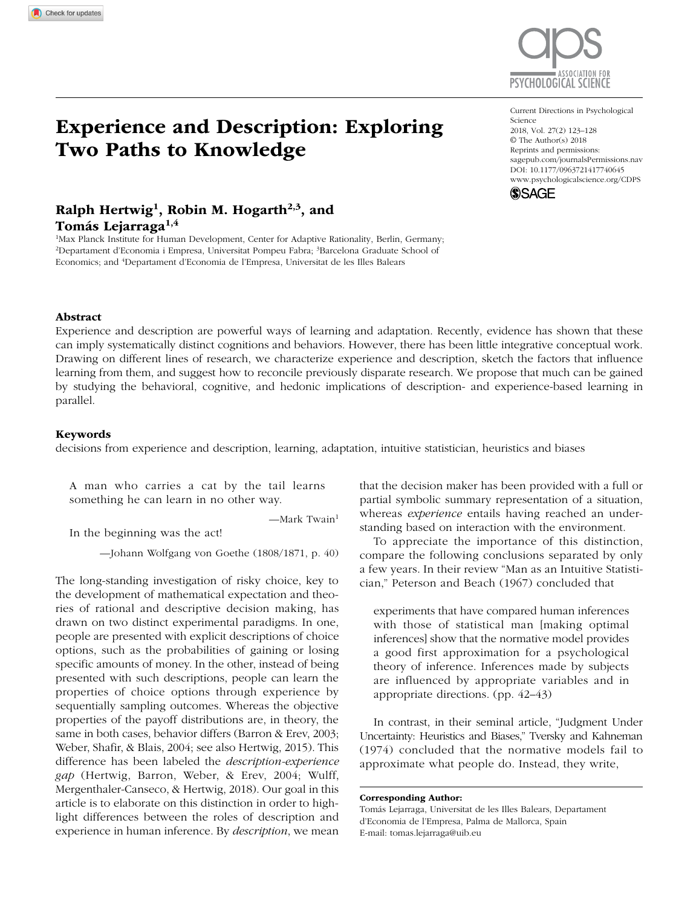

# Experience and Description: Exploring Two Paths to Knowledge

https://doi.org/10.1177/0963721417740645 DOI: 10.1177/0963721417740645 Current Directions in Psychological Science 2018, Vol. 27(2) 123–128 © The Author(s) 2018 Reprints and permissions: [sagepub.com/journalsPermissions.nav](https://sagepub.com/journalsPermissions.nav) [www.psychologicalscience.org/CDPS](http://www.psychologicalscience.org/cdps)



## Ralph Hertwig<sup>1</sup>, Robin M. Hogarth<sup>2,3</sup>, and Tomás Lejarraga<sup>1,4</sup>

<sup>1</sup>Max Planck Institute for Human Development, Center for Adaptive Rationality, Berlin, Germany; <sup>2</sup>Departament d'Economia i Empresa, Universitat Pompeu Fabra; <sup>3</sup>Barcelona Graduate School of Economics; and <sup>4</sup>Departament d'Economia de l'Empresa, Universitat de les Illes Balears

#### Abstract

Experience and description are powerful ways of learning and adaptation. Recently, evidence has shown that these can imply systematically distinct cognitions and behaviors. However, there has been little integrative conceptual work. Drawing on different lines of research, we characterize experience and description, sketch the factors that influence learning from them, and suggest how to reconcile previously disparate research. We propose that much can be gained by studying the behavioral, cognitive, and hedonic implications of description- and experience-based learning in parallel.

#### Keywords

decisions from experience and description, learning, adaptation, intuitive statistician, heuristics and biases

A man who carries a cat by the tail learns something he can learn in no other way.

 $-Mark$  Twain<sup>1</sup>

In the beginning was the act!

—Johann Wolfgang von Goethe (1808/1871, p. 40)

The long-standing investigation of risky choice, key to the development of mathematical expectation and theories of rational and descriptive decision making, has drawn on two distinct experimental paradigms. In one, people are presented with explicit descriptions of choice options, such as the probabilities of gaining or losing specific amounts of money. In the other, instead of being presented with such descriptions, people can learn the properties of choice options through experience by sequentially sampling outcomes. Whereas the objective properties of the payoff distributions are, in theory, the same in both cases, behavior differs (Barron & Erev, 2003; Weber, Shafir, & Blais, 2004; see also Hertwig, 2015). This difference has been labeled the *description-experience gap* (Hertwig, Barron, Weber, & Erev, 2004; Wulff, Mergenthaler-Canseco, & Hertwig, 2018). Our goal in this article is to elaborate on this distinction in order to highlight differences between the roles of description and experience in human inference. By *description*, we mean

that the decision maker has been provided with a full or partial symbolic summary representation of a situation, whereas *experience* entails having reached an understanding based on interaction with the environment.

To appreciate the importance of this distinction, compare the following conclusions separated by only a few years. In their review "Man as an Intuitive Statistician," Peterson and Beach (1967) concluded that

experiments that have compared human inferences with those of statistical man [making optimal inferences] show that the normative model provides a good first approximation for a psychological theory of inference. Inferences made by subjects are influenced by appropriate variables and in appropriate directions. (pp. 42–43)

In contrast, in their seminal article, "Judgment Under Uncertainty: Heuristics and Biases," Tversky and Kahneman (1974) concluded that the normative models fail to approximate what people do. Instead, they write,

Corresponding Author:

Tomás Lejarraga, Universitat de les Illes Balears, Departament d'Economia de l'Empresa, Palma de Mallorca, Spain E-mail: tomas.lejarraga@uib.eu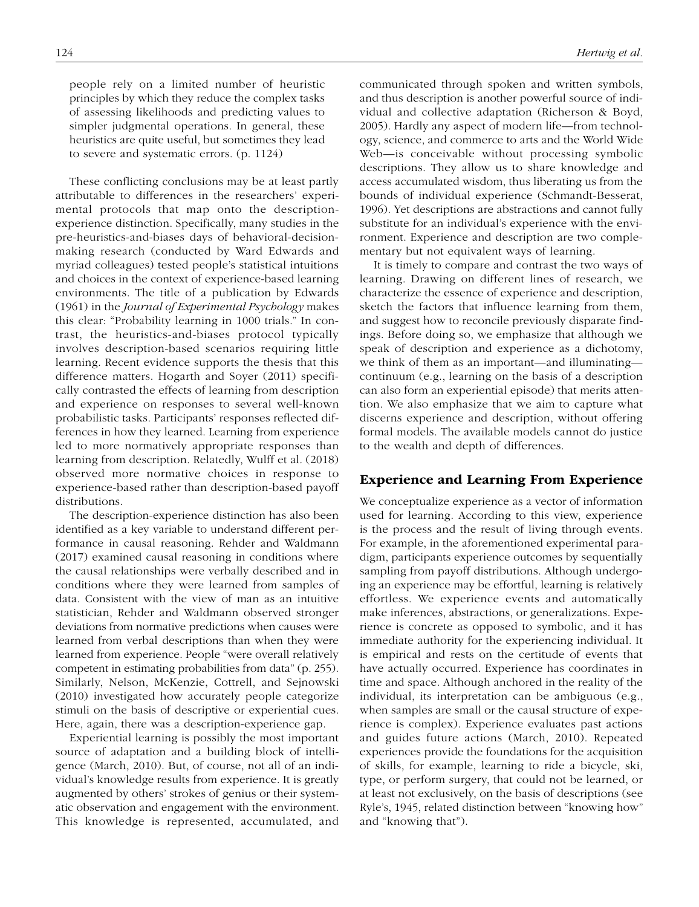people rely on a limited number of heuristic principles by which they reduce the complex tasks of assessing likelihoods and predicting values to simpler judgmental operations. In general, these heuristics are quite useful, but sometimes they lead to severe and systematic errors. (p. 1124)

These conflicting conclusions may be at least partly attributable to differences in the researchers' experimental protocols that map onto the descriptionexperience distinction. Specifically, many studies in the pre-heuristics-and-biases days of behavioral-decisionmaking research (conducted by Ward Edwards and myriad colleagues) tested people's statistical intuitions and choices in the context of experience-based learning environments. The title of a publication by Edwards (1961) in the *Journal of Experimental Psychology* makes this clear: "Probability learning in 1000 trials." In contrast, the heuristics-and-biases protocol typically involves description-based scenarios requiring little learning. Recent evidence supports the thesis that this difference matters. Hogarth and Soyer (2011) specifically contrasted the effects of learning from description and experience on responses to several well-known probabilistic tasks. Participants' responses reflected differences in how they learned. Learning from experience led to more normatively appropriate responses than learning from description. Relatedly, Wulff et al. (2018) observed more normative choices in response to experience-based rather than description-based payoff distributions.

The description-experience distinction has also been identified as a key variable to understand different performance in causal reasoning. Rehder and Waldmann (2017) examined causal reasoning in conditions where the causal relationships were verbally described and in conditions where they were learned from samples of data. Consistent with the view of man as an intuitive statistician, Rehder and Waldmann observed stronger deviations from normative predictions when causes were learned from verbal descriptions than when they were learned from experience. People "were overall relatively competent in estimating probabilities from data" (p. 255). Similarly, Nelson, McKenzie, Cottrell, and Sejnowski (2010) investigated how accurately people categorize stimuli on the basis of descriptive or experiential cues. Here, again, there was a description-experience gap.

Experiential learning is possibly the most important source of adaptation and a building block of intelligence (March, 2010). But, of course, not all of an individual's knowledge results from experience. It is greatly augmented by others' strokes of genius or their systematic observation and engagement with the environment. This knowledge is represented, accumulated, and communicated through spoken and written symbols, and thus description is another powerful source of individual and collective adaptation (Richerson & Boyd, 2005). Hardly any aspect of modern life—from technology, science, and commerce to arts and the World Wide Web—is conceivable without processing symbolic descriptions. They allow us to share knowledge and access accumulated wisdom, thus liberating us from the bounds of individual experience (Schmandt-Besserat, 1996). Yet descriptions are abstractions and cannot fully substitute for an individual's experience with the environment. Experience and description are two complementary but not equivalent ways of learning.

It is timely to compare and contrast the two ways of learning. Drawing on different lines of research, we characterize the essence of experience and description, sketch the factors that influence learning from them, and suggest how to reconcile previously disparate findings. Before doing so, we emphasize that although we speak of description and experience as a dichotomy, we think of them as an important—and illuminating continuum (e.g., learning on the basis of a description can also form an experiential episode) that merits attention. We also emphasize that we aim to capture what discerns experience and description, without offering formal models. The available models cannot do justice to the wealth and depth of differences.

#### Experience and Learning From Experience

We conceptualize experience as a vector of information used for learning. According to this view, experience is the process and the result of living through events. For example, in the aforementioned experimental paradigm, participants experience outcomes by sequentially sampling from payoff distributions. Although undergoing an experience may be effortful, learning is relatively effortless. We experience events and automatically make inferences, abstractions, or generalizations. Experience is concrete as opposed to symbolic, and it has immediate authority for the experiencing individual. It is empirical and rests on the certitude of events that have actually occurred. Experience has coordinates in time and space. Although anchored in the reality of the individual, its interpretation can be ambiguous (e.g., when samples are small or the causal structure of experience is complex). Experience evaluates past actions and guides future actions (March, 2010). Repeated experiences provide the foundations for the acquisition of skills, for example, learning to ride a bicycle, ski, type, or perform surgery, that could not be learned, or at least not exclusively, on the basis of descriptions (see Ryle's, 1945, related distinction between "knowing how" and "knowing that").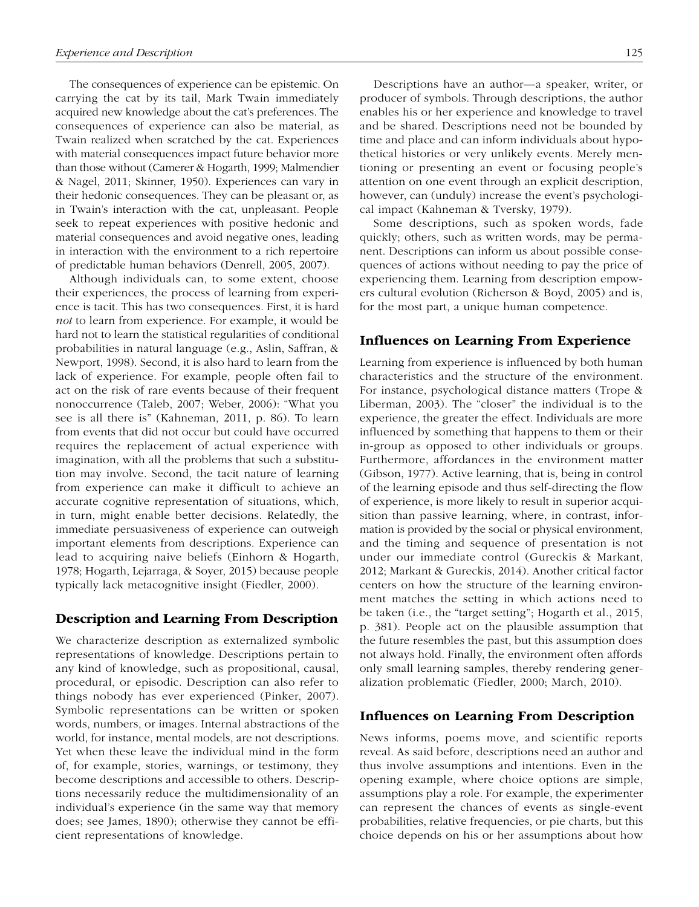The consequences of experience can be epistemic. On carrying the cat by its tail, Mark Twain immediately acquired new knowledge about the cat's preferences. The consequences of experience can also be material, as Twain realized when scratched by the cat. Experiences with material consequences impact future behavior more than those without (Camerer & Hogarth, 1999; Malmendier & Nagel, 2011; Skinner, 1950). Experiences can vary in their hedonic consequences. They can be pleasant or, as in Twain's interaction with the cat, unpleasant. People seek to repeat experiences with positive hedonic and material consequences and avoid negative ones, leading in interaction with the environment to a rich repertoire of predictable human behaviors (Denrell, 2005, 2007).

Although individuals can, to some extent, choose their experiences, the process of learning from experience is tacit. This has two consequences. First, it is hard *not* to learn from experience. For example, it would be hard not to learn the statistical regularities of conditional probabilities in natural language (e.g., Aslin, Saffran, & Newport, 1998). Second, it is also hard to learn from the lack of experience. For example, people often fail to act on the risk of rare events because of their frequent nonoccurrence (Taleb, 2007; Weber, 2006): "What you see is all there is" (Kahneman, 2011, p. 86). To learn from events that did not occur but could have occurred requires the replacement of actual experience with imagination, with all the problems that such a substitution may involve. Second, the tacit nature of learning from experience can make it difficult to achieve an accurate cognitive representation of situations, which, in turn, might enable better decisions. Relatedly, the immediate persuasiveness of experience can outweigh important elements from descriptions. Experience can lead to acquiring naive beliefs (Einhorn & Hogarth, 1978; Hogarth, Lejarraga, & Soyer, 2015) because people typically lack metacognitive insight (Fiedler, 2000).

#### Description and Learning From Description

We characterize description as externalized symbolic representations of knowledge. Descriptions pertain to any kind of knowledge, such as propositional, causal, procedural, or episodic. Description can also refer to things nobody has ever experienced (Pinker, 2007). Symbolic representations can be written or spoken words, numbers, or images. Internal abstractions of the world, for instance, mental models, are not descriptions. Yet when these leave the individual mind in the form of, for example, stories, warnings, or testimony, they become descriptions and accessible to others. Descriptions necessarily reduce the multidimensionality of an individual's experience (in the same way that memory does; see James, 1890); otherwise they cannot be efficient representations of knowledge.

Descriptions have an author—a speaker, writer, or producer of symbols. Through descriptions, the author enables his or her experience and knowledge to travel and be shared. Descriptions need not be bounded by time and place and can inform individuals about hypothetical histories or very unlikely events. Merely mentioning or presenting an event or focusing people's attention on one event through an explicit description, however, can (unduly) increase the event's psychological impact (Kahneman & Tversky, 1979).

Some descriptions, such as spoken words, fade quickly; others, such as written words, may be permanent. Descriptions can inform us about possible consequences of actions without needing to pay the price of experiencing them. Learning from description empowers cultural evolution (Richerson & Boyd, 2005) and is, for the most part, a unique human competence.

#### Influences on Learning From Experience

Learning from experience is influenced by both human characteristics and the structure of the environment. For instance, psychological distance matters (Trope & Liberman, 2003). The "closer" the individual is to the experience, the greater the effect. Individuals are more influenced by something that happens to them or their in-group as opposed to other individuals or groups. Furthermore, affordances in the environment matter (Gibson, 1977). Active learning, that is, being in control of the learning episode and thus self-directing the flow of experience, is more likely to result in superior acquisition than passive learning, where, in contrast, information is provided by the social or physical environment, and the timing and sequence of presentation is not under our immediate control (Gureckis & Markant, 2012; Markant & Gureckis, 2014). Another critical factor centers on how the structure of the learning environment matches the setting in which actions need to be taken (i.e., the "target setting"; Hogarth et al., 2015, p. 381). People act on the plausible assumption that the future resembles the past, but this assumption does not always hold. Finally, the environment often affords only small learning samples, thereby rendering generalization problematic (Fiedler, 2000; March, 2010).

#### Influences on Learning From Description

News informs, poems move, and scientific reports reveal. As said before, descriptions need an author and thus involve assumptions and intentions. Even in the opening example, where choice options are simple, assumptions play a role. For example, the experimenter can represent the chances of events as single-event probabilities, relative frequencies, or pie charts, but this choice depends on his or her assumptions about how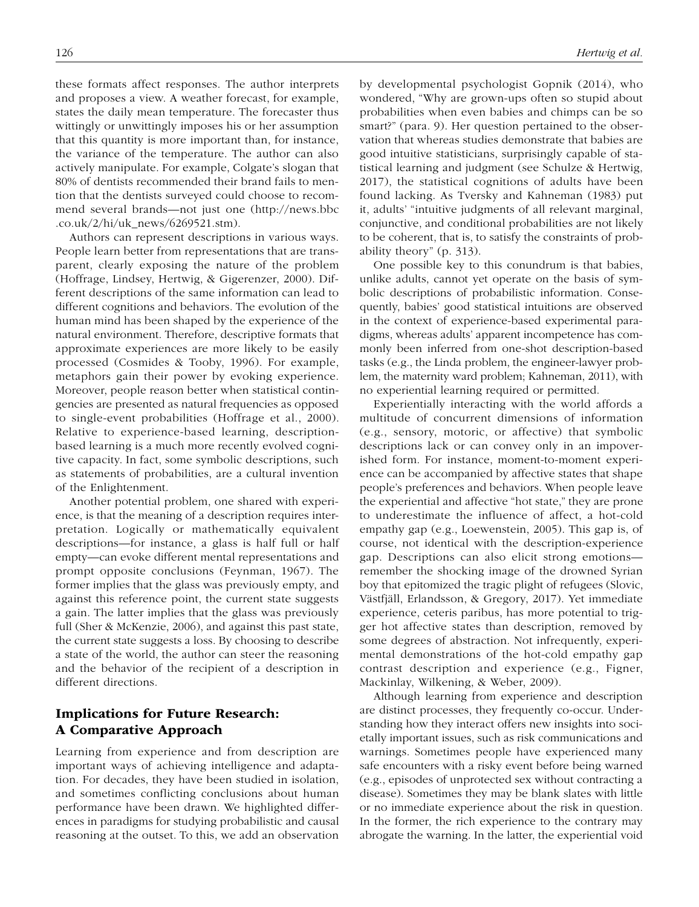these formats affect responses. The author interprets and proposes a view. A weather forecast, for example, states the daily mean temperature. The forecaster thus wittingly or unwittingly imposes his or her assumption that this quantity is more important than, for instance, the variance of the temperature. The author can also actively manipulate. For example, Colgate's slogan that 80% of dentists recommended their brand fails to mention that the dentists surveyed could choose to recommend several brands—not just one (http://news.bbc .co.uk/ $2/hi/uk$  news/6269521.stm).

Authors can represent descriptions in various ways. People learn better from representations that are transparent, clearly exposing the nature of the problem (Hoffrage, Lindsey, Hertwig, & Gigerenzer, 2000). Different descriptions of the same information can lead to different cognitions and behaviors. The evolution of the human mind has been shaped by the experience of the natural environment. Therefore, descriptive formats that approximate experiences are more likely to be easily processed (Cosmides & Tooby, 1996). For example, metaphors gain their power by evoking experience. Moreover, people reason better when statistical contingencies are presented as natural frequencies as opposed to single-event probabilities (Hoffrage et al., 2000). Relative to experience-based learning, descriptionbased learning is a much more recently evolved cognitive capacity. In fact, some symbolic descriptions, such as statements of probabilities, are a cultural invention of the Enlightenment.

Another potential problem, one shared with experience, is that the meaning of a description requires interpretation. Logically or mathematically equivalent descriptions—for instance, a glass is half full or half empty—can evoke different mental representations and prompt opposite conclusions (Feynman, 1967). The former implies that the glass was previously empty, and against this reference point, the current state suggests a gain. The latter implies that the glass was previously full (Sher & McKenzie, 2006), and against this past state, the current state suggests a loss. By choosing to describe a state of the world, the author can steer the reasoning and the behavior of the recipient of a description in different directions.

### Implications for Future Research: A Comparative Approach

Learning from experience and from description are important ways of achieving intelligence and adaptation. For decades, they have been studied in isolation, and sometimes conflicting conclusions about human performance have been drawn. We highlighted differences in paradigms for studying probabilistic and causal reasoning at the outset. To this, we add an observation by developmental psychologist Gopnik (2014), who wondered, "Why are grown-ups often so stupid about probabilities when even babies and chimps can be so smart?" (para. 9). Her question pertained to the observation that whereas studies demonstrate that babies are good intuitive statisticians, surprisingly capable of statistical learning and judgment (see Schulze & Hertwig, 2017), the statistical cognitions of adults have been found lacking. As Tversky and Kahneman (1983) put it, adults' "intuitive judgments of all relevant marginal, conjunctive, and conditional probabilities are not likely to be coherent, that is, to satisfy the constraints of probability theory" (p. 313).

One possible key to this conundrum is that babies, unlike adults, cannot yet operate on the basis of symbolic descriptions of probabilistic information. Consequently, babies' good statistical intuitions are observed in the context of experience-based experimental paradigms, whereas adults' apparent incompetence has commonly been inferred from one-shot description-based tasks (e.g., the Linda problem, the engineer-lawyer problem, the maternity ward problem; Kahneman, 2011), with no experiential learning required or permitted.

Experientially interacting with the world affords a multitude of concurrent dimensions of information (e.g., sensory, motoric, or affective) that symbolic descriptions lack or can convey only in an impoverished form. For instance, moment-to-moment experience can be accompanied by affective states that shape people's preferences and behaviors. When people leave the experiential and affective "hot state," they are prone to underestimate the influence of affect, a hot-cold empathy gap (e.g., Loewenstein, 2005). This gap is, of course, not identical with the description-experience gap. Descriptions can also elicit strong emotions remember the shocking image of the drowned Syrian boy that epitomized the tragic plight of refugees (Slovic, Västfjäll, Erlandsson, & Gregory, 2017). Yet immediate experience, ceteris paribus, has more potential to trigger hot affective states than description, removed by some degrees of abstraction. Not infrequently, experimental demonstrations of the hot-cold empathy gap contrast description and experience (e.g., Figner, Mackinlay, Wilkening, & Weber, 2009).

Although learning from experience and description are distinct processes, they frequently co-occur. Understanding how they interact offers new insights into societally important issues, such as risk communications and warnings. Sometimes people have experienced many safe encounters with a risky event before being warned (e.g., episodes of unprotected sex without contracting a disease). Sometimes they may be blank slates with little or no immediate experience about the risk in question. In the former, the rich experience to the contrary may abrogate the warning. In the latter, the experiential void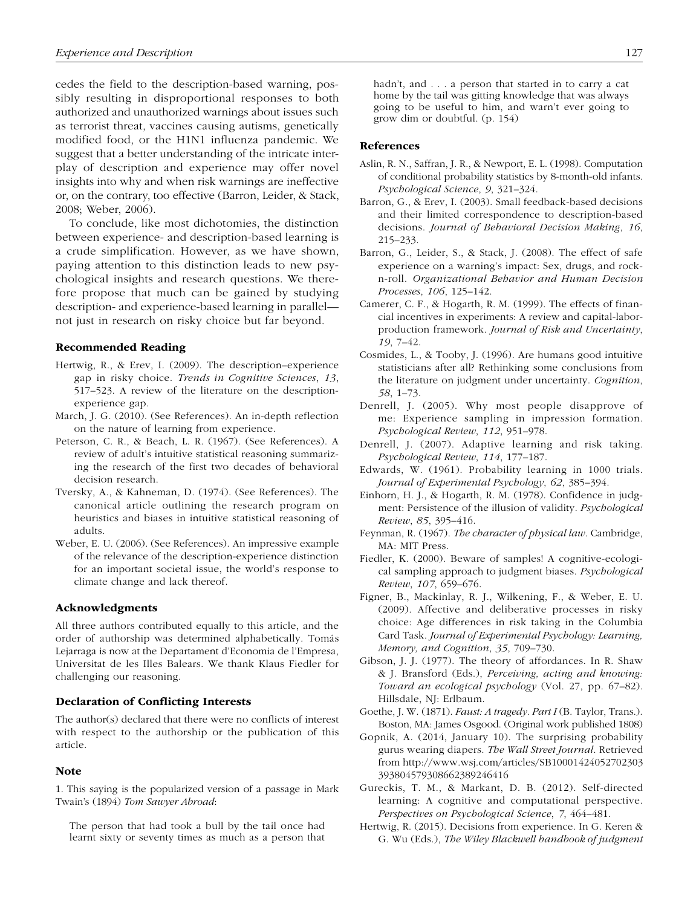cedes the field to the description-based warning, possibly resulting in disproportional responses to both authorized and unauthorized warnings about issues such as terrorist threat, vaccines causing autisms, genetically modified food, or the H1N1 influenza pandemic. We suggest that a better understanding of the intricate interplay of description and experience may offer novel insights into why and when risk warnings are ineffective or, on the contrary, too effective (Barron, Leider, & Stack, 2008; Weber, 2006).

To conclude, like most dichotomies, the distinction between experience- and description-based learning is a crude simplification. However, as we have shown, paying attention to this distinction leads to new psychological insights and research questions. We therefore propose that much can be gained by studying description- and experience-based learning in parallel not just in research on risky choice but far beyond.

#### Recommended Reading

- Hertwig, R., & Erev, I. (2009). The description–experience gap in risky choice. *Trends in Cognitive Sciences*, *13*, 517–523. A review of the literature on the descriptionexperience gap.
- March, J. G. (2010). (See References). An in-depth reflection on the nature of learning from experience.
- Peterson, C. R., & Beach, L. R. (1967). (See References). A review of adult's intuitive statistical reasoning summarizing the research of the first two decades of behavioral decision research.
- Tversky, A., & Kahneman, D. (1974). (See References). The canonical article outlining the research program on heuristics and biases in intuitive statistical reasoning of adults.
- Weber, E. U. (2006). (See References). An impressive example of the relevance of the description-experience distinction for an important societal issue, the world's response to climate change and lack thereof.

#### Acknowledgments

All three authors contributed equally to this article, and the order of authorship was determined alphabetically. Tomás Lejarraga is now at the Departament d'Economia de l'Empresa, Universitat de les Illes Balears. We thank Klaus Fiedler for challenging our reasoning.

#### Declaration of Conflicting Interests

The author(s) declared that there were no conflicts of interest with respect to the authorship or the publication of this article.

#### Note

1. This saying is the popularized version of a passage in Mark Twain's (1894) *Tom Sawyer Abroad*:

The person that had took a bull by the tail once had learnt sixty or seventy times as much as a person that

#### References

- Aslin, R. N., Saffran, J. R., & Newport, E. L. (1998). Computation of conditional probability statistics by 8-month-old infants. *Psychological Science*, *9*, 321–324.
- Barron, G., & Erev, I. (2003). Small feedback-based decisions and their limited correspondence to description-based decisions. *Journal of Behavioral Decision Making*, *16*, 215–233.
- Barron, G., Leider, S., & Stack, J. (2008). The effect of safe experience on a warning's impact: Sex, drugs, and rockn-roll. *Organizational Behavior and Human Decision Processes*, *106*, 125–142.
- Camerer, C. F., & Hogarth, R. M. (1999). The effects of financial incentives in experiments: A review and capital-laborproduction framework. *Journal of Risk and Uncertainty*, *19*, 7–42.
- Cosmides, L., & Tooby, J. (1996). Are humans good intuitive statisticians after all? Rethinking some conclusions from the literature on judgment under uncertainty. *Cognition*, *58*, 1–73.
- Denrell, J. (2005). Why most people disapprove of me: Experience sampling in impression formation. *Psychological Review*, *112*, 951–978.
- Denrell, J. (2007). Adaptive learning and risk taking. *Psychological Review*, *114*, 177–187.
- Edwards, W. (1961). Probability learning in 1000 trials. *Journal of Experimental Psychology*, *62*, 385–394.
- Einhorn, H. J., & Hogarth, R. M. (1978). Confidence in judgment: Persistence of the illusion of validity. *Psychological Review*, *85*, 395–416.
- Feynman, R. (1967). *The character of physical law*. Cambridge, MA: MIT Press.
- Fiedler, K. (2000). Beware of samples! A cognitive-ecological sampling approach to judgment biases. *Psychological Review*, *107*, 659–676.
- Figner, B., Mackinlay, R. J., Wilkening, F., & Weber, E. U. (2009). Affective and deliberative processes in risky choice: Age differences in risk taking in the Columbia Card Task. *Journal of Experimental Psychology: Learning, Memory, and Cognition*, *35*, 709–730.
- Gibson, J. J. (1977). The theory of affordances. In R. Shaw & J. Bransford (Eds.), *Perceiving, acting and knowing: Toward an ecological psychology* (Vol. 27, pp. 67–82). Hillsdale, NJ: Erlbaum.
- Goethe, J. W. (1871). *Faust: A tragedy. Part I* (B. Taylor, Trans.). Boston, MA: James Osgood. (Original work published 1808)
- Gopnik, A. (2014, January 10). The surprising probability gurus wearing diapers. *The Wall Street Journal*. Retrieved from http://www.wsj.com/articles/SB10001424052702303 393804579308662389246416
- Gureckis, T. M., & Markant, D. B. (2012). Self-directed learning: A cognitive and computational perspective. *Perspectives on Psychological Science*, *7*, 464–481.
- Hertwig, R. (2015). Decisions from experience. In G. Keren & G. Wu (Eds.), *The Wiley Blackwell handbook of judgment*